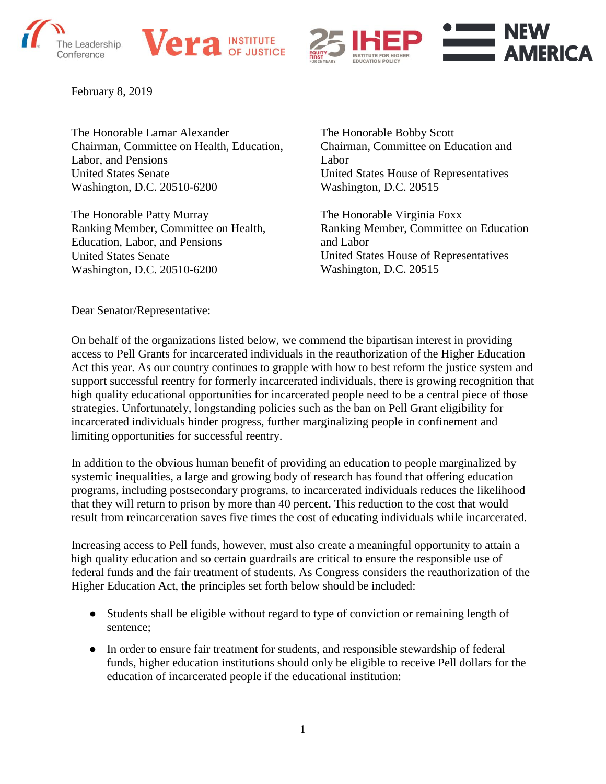





February 8, 2019

The Honorable Lamar Alexander Chairman, Committee on Health, Education, Labor, and Pensions United States Senate Washington, D.C. 20510-6200

The Honorable Patty Murray Ranking Member, Committee on Health, Education, Labor, and Pensions United States Senate Washington, D.C. 20510-6200

The Honorable Bobby Scott Chairman, Committee on Education and Labor United States House of Representatives Washington, D.C. 20515

The Honorable Virginia Foxx Ranking Member, Committee on Education and Labor United States House of Representatives Washington, D.C. 20515

Dear Senator/Representative:

On behalf of the organizations listed below, we commend the bipartisan interest in providing access to Pell Grants for incarcerated individuals in the reauthorization of the Higher Education Act this year. As our country continues to grapple with how to best reform the justice system and support successful reentry for formerly incarcerated individuals, there is growing recognition that high quality educational opportunities for incarcerated people need to be a central piece of those strategies. Unfortunately, longstanding policies such as the ban on Pell Grant eligibility for incarcerated individuals hinder progress, further marginalizing people in confinement and limiting opportunities for successful reentry.

In addition to the obvious human benefit of providing an education to people marginalized by systemic inequalities, a large and growing body of research has found that offering education programs, including postsecondary programs, to incarcerated individuals reduces the likelihood that they will return to prison by more than 40 percent. This reduction to the cost that would result from reincarceration saves five times the cost of educating individuals while incarcerated.

Increasing access to Pell funds, however, must also create a meaningful opportunity to attain a high quality education and so certain guardrails are critical to ensure the responsible use of federal funds and the fair treatment of students. As Congress considers the reauthorization of the Higher Education Act, the principles set forth below should be included:

- Students shall be eligible without regard to type of conviction or remaining length of sentence;
- In order to ensure fair treatment for students, and responsible stewardship of federal funds, higher education institutions should only be eligible to receive Pell dollars for the education of incarcerated people if the educational institution: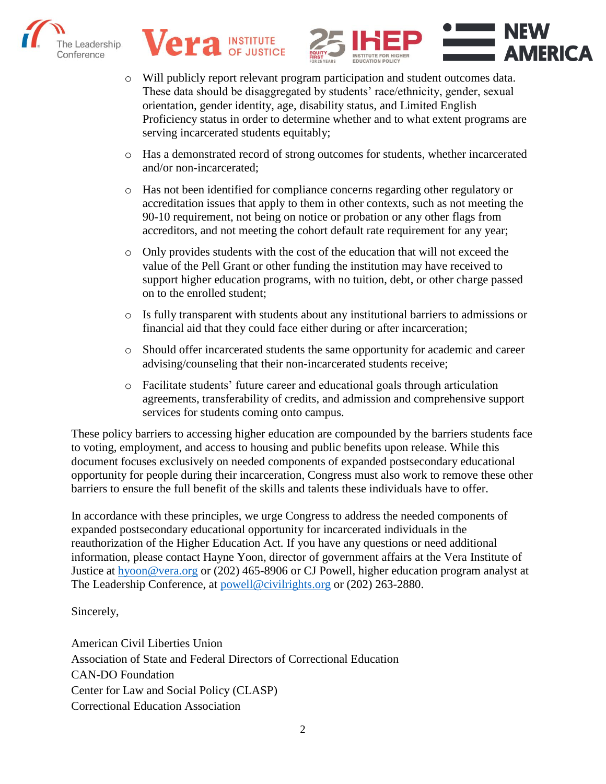





- o Will publicly report relevant program participation and student outcomes data. These data should be disaggregated by students' race/ethnicity, gender, sexual orientation, gender identity, age, disability status, and Limited English Proficiency status in order to determine whether and to what extent programs are serving incarcerated students equitably;
- o Has a demonstrated record of strong outcomes for students, whether incarcerated and/or non-incarcerated;
- o Has not been identified for compliance concerns regarding other regulatory or accreditation issues that apply to them in other contexts, such as not meeting the 90-10 requirement, not being on notice or probation or any other flags from accreditors, and not meeting the cohort default rate requirement for any year;
- o Only provides students with the cost of the education that will not exceed the value of the Pell Grant or other funding the institution may have received to support higher education programs, with no tuition, debt, or other charge passed on to the enrolled student;
- o Is fully transparent with students about any institutional barriers to admissions or financial aid that they could face either during or after incarceration;
- o Should offer incarcerated students the same opportunity for academic and career advising/counseling that their non-incarcerated students receive;
- o Facilitate students' future career and educational goals through articulation agreements, transferability of credits, and admission and comprehensive support services for students coming onto campus.

These policy barriers to accessing higher education are compounded by the barriers students face to voting, employment, and access to housing and public benefits upon release. While this document focuses exclusively on needed components of expanded postsecondary educational opportunity for people during their incarceration, Congress must also work to remove these other barriers to ensure the full benefit of the skills and talents these individuals have to offer.

In accordance with these principles, we urge Congress to address the needed components of expanded postsecondary educational opportunity for incarcerated individuals in the reauthorization of the Higher Education Act. If you have any questions or need additional information, please contact Hayne Yoon, director of government affairs at the Vera Institute of Justice at [hyoon@vera.org](mailto:hyoon@vera.org) or (202) 465-8906 or CJ Powell, higher education program analyst at The Leadership Conference, at [powell@civilrights.org](mailto:powell@civilrights.org) or (202) 263-2880.

## Sincerely,

American Civil Liberties Union Association of State and Federal Directors of Correctional Education CAN-DO Foundation Center for Law and Social Policy (CLASP) Correctional Education Association